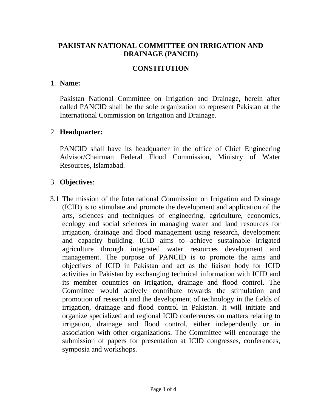# **PAKISTAN NATIONAL COMMITTEE ON IRRIGATION AND DRAINAGE (PANCID)**

#### **CONSTITUTION**

#### 1. **Name:**

Pakistan National Committee on Irrigation and Drainage, herein after called PANCID shall be the sole organization to represent Pakistan at the International Commission on Irrigation and Drainage.

#### 2. **Headquarter:**

PANCID shall have its headquarter in the office of Chief Engineering Advisor/Chairman Federal Flood Commission, Ministry of Water Resources, Islamabad.

#### 3. **Objectives**:

3.1 The mission of the International Commission on Irrigation and Drainage (ICID) is to stimulate and promote the development and application of the arts, sciences and techniques of engineering, agriculture, economics, ecology and social sciences in managing water and land resources for irrigation, drainage and flood management using research, development and capacity building. ICID aims to achieve sustainable irrigated agriculture through integrated water resources development and management. The purpose of PANCID is to promote the aims and objectives of ICID in Pakistan and act as the liaison body for ICID activities in Pakistan by exchanging technical information with ICID and its member countries on irrigation, drainage and flood control. The Committee would actively contribute towards the stimulation and promotion of research and the development of technology in the fields of irrigation, drainage and flood control in Pakistan. It will initiate and organize specialized and regional ICID conferences on matters relating to irrigation, drainage and flood control, either independently or in association with other organizations. The Committee will encourage the submission of papers for presentation at ICID congresses, conferences, symposia and workshops.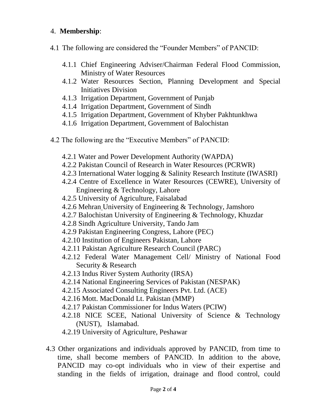# 4. **Membership**:

- 4.1 The following are considered the "Founder Members" of PANCID:
	- 4.1.1 Chief Engineering Adviser/Chairman Federal Flood Commission, Ministry of Water Resources
	- 4.1.2 Water Resources Section, Planning Development and Special Initiatives Division
	- 4.1.3 Irrigation Department, Government of Punjab
	- 4.1.4 Irrigation Department, Government of Sindh
	- 4.1.5 Irrigation Department, Government of Khyber Pakhtunkhwa
	- 4.1.6 Irrigation Department, Government of Balochistan
- 4.2 The following are the "Executive Members" of PANCID:
	- 4.2.1 Water and Power Development Authority (WAPDA)
	- 4.2.2 Pakistan Council of Research in Water Resources (PCRWR)
	- 4.2.3 International Water logging & Salinity Research Institute (IWASRI)
	- 4.2.4 Centre of Excellence in Water Resources (CEWRE), University of Engineering & Technology, Lahore
	- 4.2.5 University of Agriculture, Faisalabad
	- 4.2.6 Mehran University of Engineering & Technology, Jamshoro
	- 4.2.7 Balochistan University of Engineering & Technology, Khuzdar
	- 4.2.8 Sindh Agriculture University, Tando Jam
	- 4.2.9 Pakistan Engineering Congress, Lahore (PEC)
	- 4.2.10 Institution of Engineers Pakistan, Lahore
	- 4.2.11 Pakistan Agriculture Research Council (PARC)
	- 4.2.12 Federal Water Management Cell/ Ministry of National Food Security & Research
	- 4.2.13 Indus River System Authority (IRSA)
	- 4.2.14 National Engineering Services of Pakistan (NESPAK)
	- 4.2.15 Associated Consulting Engineers Pvt. Ltd. (ACE)
	- 4.2.16 Mott. MacDonald Lt. Pakistan (MMP)
	- 4.2.17 Pakistan Commissioner for Indus Waters (PCIW)
	- 4.2.18 NICE SCEE, National University of Science & Technology (NUST), Islamabad.
	- 4.2.19 University of Agriculture, Peshawar
- 4.3 Other organizations and individuals approved by PANCID, from time to time, shall become members of PANCID. In addition to the above, PANCID may co-opt individuals who in view of their expertise and standing in the fields of irrigation, drainage and flood control, could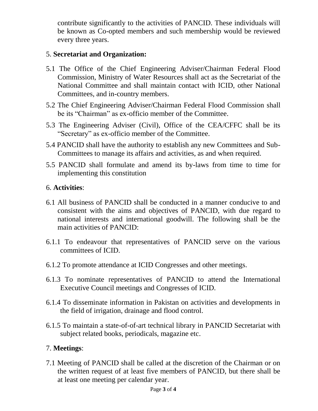contribute significantly to the activities of PANCID. These individuals will be known as Co-opted members and such membership would be reviewed every three years.

# 5. **Secretariat and Organization:**

- 5.1 The Office of the Chief Engineering Adviser/Chairman Federal Flood Commission, Ministry of Water Resources shall act as the Secretariat of the National Committee and shall maintain contact with ICID, other National Committees, and in-country members.
- 5.2 The Chief Engineering Adviser/Chairman Federal Flood Commission shall be its "Chairman" as ex-officio member of the Committee.
- 5.3 The Engineering Adviser (Civil), Office of the CEA/CFFC shall be its "Secretary" as ex-officio member of the Committee.
- 5.4 PANCID shall have the authority to establish any new Committees and Sub-Committees to manage its affairs and activities, as and when required.
- 5.5 PANCID shall formulate and amend its by-laws from time to time for implementing this constitution

### 6. **Activities**:

- 6.1 All business of PANCID shall be conducted in a manner conducive to and consistent with the aims and objectives of PANCID, with due regard to national interests and international goodwill. The following shall be the main activities of PANCID:
- 6.1.1 To endeavour that representatives of PANCID serve on the various committees of ICID.
- 6.1.2 To promote attendance at ICID Congresses and other meetings.
- 6.1.3 To nominate representatives of PANCID to attend the International Executive Council meetings and Congresses of ICID.
- 6.1.4 To disseminate information in Pakistan on activities and developments in the field of irrigation, drainage and flood control.
- 6.1.5 To maintain a state-of-of-art technical library in PANCID Secretariat with subject related books, periodicals, magazine etc.

#### 7. **Meetings**:

7.1 Meeting of PANCID shall be called at the discretion of the Chairman or on the written request of at least five members of PANCID, but there shall be at least one meeting per calendar year.